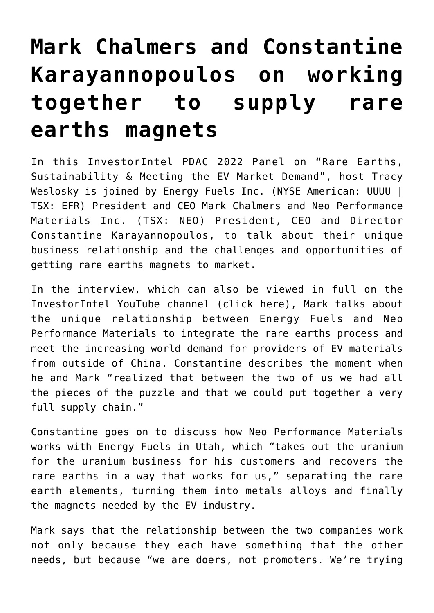## **[Mark Chalmers and Constantine](https://investorintel.com/investorintel-video/mark-chalmers-and-constantine-karayannopoulos-on-working-together-to-supply-rare-earths-magnets/) [Karayannopoulos on working](https://investorintel.com/investorintel-video/mark-chalmers-and-constantine-karayannopoulos-on-working-together-to-supply-rare-earths-magnets/) [together to supply rare](https://investorintel.com/investorintel-video/mark-chalmers-and-constantine-karayannopoulos-on-working-together-to-supply-rare-earths-magnets/) [earths magnets](https://investorintel.com/investorintel-video/mark-chalmers-and-constantine-karayannopoulos-on-working-together-to-supply-rare-earths-magnets/)**

In this InvestorIntel PDAC 2022 Panel on "Rare Earths, Sustainability & Meeting the EV Market Demand", host Tracy Weslosky is joined by [Energy Fuels Inc.](https://www.energyfuels.com/) (NYSE American: UUUU | TSX: EFR) President and CEO Mark Chalmers and [Neo Performance](https://www.neomaterials.com/) [Materials Inc.](https://www.neomaterials.com/) (TSX: NEO) President, CEO and Director Constantine Karayannopoulos, to talk about their unique business relationship and the challenges and opportunities of getting rare earths magnets to market.

In the interview, which can also be viewed in full on the InvestorIntel YouTube channel ([click here\)](https://youtu.be/BF6j9HHjaiw), Mark talks about the unique relationship between Energy Fuels and Neo Performance Materials to integrate the rare earths process and meet the increasing world demand for providers of EV materials from outside of China. Constantine describes the moment when he and Mark "realized that between the two of us we had all the pieces of the puzzle and that we could put together a very full supply chain."

Constantine goes on to discuss how Neo Performance Materials works with Energy Fuels in Utah, which "takes out the uranium for the uranium business for his customers and recovers the rare earths in a way that works for us," separating the rare earth elements, turning them into metals alloys and finally the magnets needed by the EV industry.

Mark says that the relationship between the two companies work not only because they each have something that the other needs, but because "we are doers, not promoters. We're trying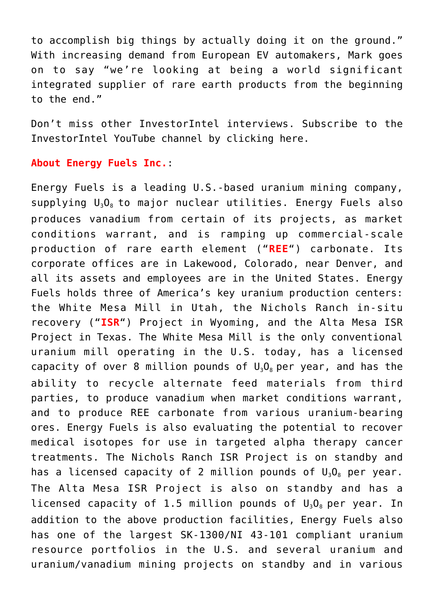to accomplish big things by actually doing it on the ground." With increasing demand from European EV automakers, Mark goes on to say "we're looking at being a world significant integrated supplier of rare earth products from the beginning to the end."

Don't miss other InvestorIntel interviews. Subscribe to the InvestorIntel YouTube channel by [clicking here](https://www.youtube.com/c/InvestorIntel).

## **About Energy Fuels Inc.**:

Energy Fuels is a leading U.S.-based uranium mining company, supplying  $U_3O_8$  to major nuclear utilities. Energy Fuels also produces vanadium from certain of its projects, as market conditions warrant, and is ramping up commercial-scale production of rare earth element ("**REE**") carbonate. Its corporate offices are in Lakewood, Colorado, near Denver, and all its assets and employees are in the United States. Energy Fuels holds three of America's key uranium production centers: the White Mesa Mill in Utah, the Nichols Ranch in-situ recovery ("**ISR**") Project in Wyoming, and the Alta Mesa ISR Project in Texas. The White Mesa Mill is the only conventional uranium mill operating in the U.S. today, has a licensed capacity of over 8 million pounds of  $U_3O_8$  per year, and has the ability to recycle alternate feed materials from third parties, to produce vanadium when market conditions warrant, and to produce REE carbonate from various uranium-bearing ores. Energy Fuels is also evaluating the potential to recover medical isotopes for use in targeted alpha therapy cancer treatments. The Nichols Ranch ISR Project is on standby and has a licensed capacity of 2 million pounds of  $U_3O_8$  per year. The Alta Mesa ISR Project is also on standby and has a licensed capacity of 1.5 million pounds of  $U_3O_8$  per year. In addition to the above production facilities, Energy Fuels also has one of the largest SK-1300/NI 43-101 compliant uranium resource portfolios in the U.S. and several uranium and uranium/vanadium mining projects on standby and in various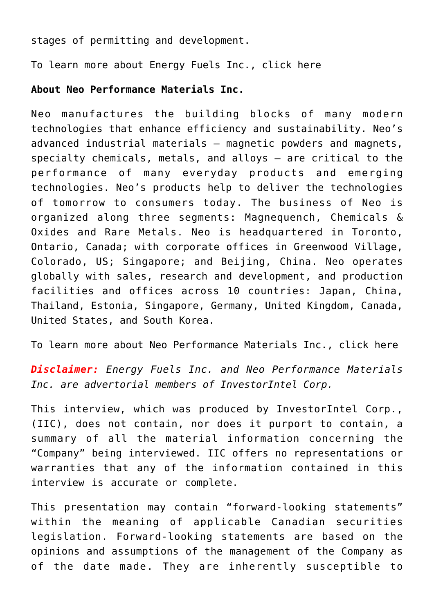stages of permitting and development.

To learn more about Energy Fuels Inc., [click here](https://www.energyfuels.com/)

## **About Neo Performance Materials Inc.**

Neo manufactures the building blocks of many modern technologies that enhance efficiency and sustainability. Neo's advanced industrial materials – magnetic powders and magnets, specialty chemicals, metals, and alloys – are critical to the performance of many everyday products and emerging technologies. Neo's products help to deliver the technologies of tomorrow to consumers today. The business of Neo is organized along three segments: Magnequench, Chemicals & Oxides and Rare Metals. Neo is headquartered in Toronto, Ontario, Canada; with corporate offices in Greenwood Village, Colorado, US; Singapore; and Beijing, China. Neo operates globally with sales, research and development, and production facilities and offices across 10 countries: Japan, China, Thailand, Estonia, Singapore, Germany, United Kingdom, Canada, United States, and South Korea.

To learn more about Neo Performance Materials Inc., [click here](https://www.neomaterials.com/)

*Disclaimer: Energy Fuels Inc. and Neo Performance Materials Inc. are advertorial members of InvestorIntel Corp.*

This interview, which was produced by InvestorIntel Corp., (IIC), does not contain, nor does it purport to contain, a summary of all the material information concerning the "Company" being interviewed. IIC offers no representations or warranties that any of the information contained in this interview is accurate or complete.

This presentation may contain "forward-looking statements" within the meaning of applicable Canadian securities legislation. Forward-looking statements are based on the opinions and assumptions of the management of the Company as of the date made. They are inherently susceptible to